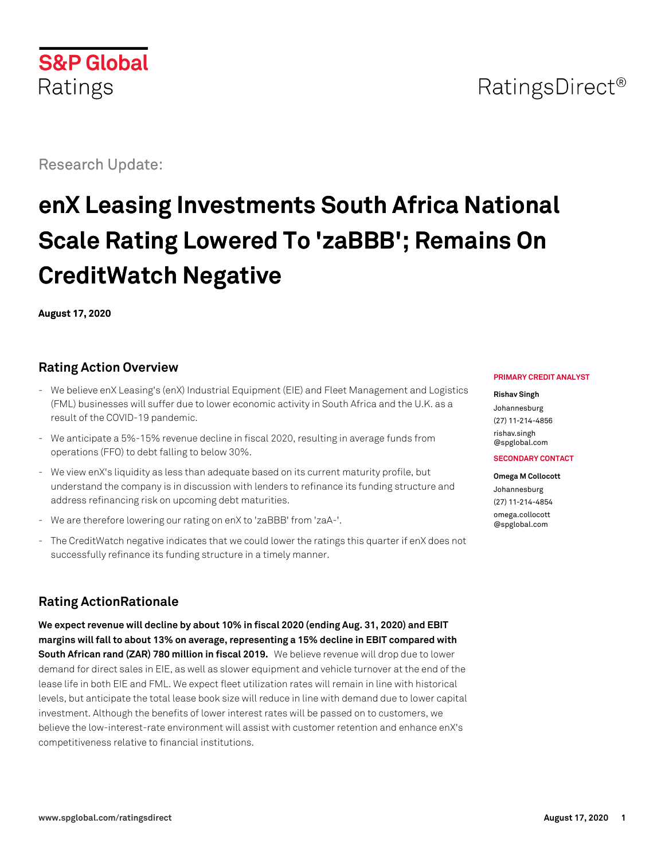## **S&P Global** Ratings

Research Update:

# **enX Leasing Investments South Africa National Scale Rating Lowered To 'zaBBB'; Remains On CreditWatch Negative**

**August 17, 2020**

## **Rating Action Overview**

- We believe enX Leasing's (enX) Industrial Equipment (EIE) and Fleet Management and Logistics (FML) businesses will suffer due to lower economic activity in South Africa and the U.K. as a result of the COVID-19 pandemic.
- We anticipate a 5%-15% revenue decline in fiscal 2020, resulting in average funds from operations (FFO) to debt falling to below 30%.
- We view enX's liquidity as less than adequate based on its current maturity profile, but understand the company is in discussion with lenders to refinance its funding structure and address refinancing risk on upcoming debt maturities.
- We are therefore lowering our rating on enX to 'zaBBB' from 'zaA-'.
- The CreditWatch negative indicates that we could lower the ratings this quarter if enX does not successfully refinance its funding structure in a timely manner.

## **Rating ActionRationale**

**We expect revenue will decline by about 10% in fiscal 2020 (ending Aug. 31, 2020) and EBIT margins will fall to about 13% on average, representing a 15% decline in EBIT compared with South African rand (ZAR) 780 million in fiscal 2019.** We believe revenue will drop due to lower demand for direct sales in EIE, as well as slower equipment and vehicle turnover at the end of the lease life in both EIE and FML. We expect fleet utilization rates will remain in line with historical levels, but anticipate the total lease book size will reduce in line with demand due to lower capital investment. Although the benefits of lower interest rates will be passed on to customers, we believe the low-interest-rate environment will assist with customer retention and enhance enX's competitiveness relative to financial institutions.

#### **PRIMARY CREDIT ANALYST**

#### **Rishav Singh**

Johannesburg (27) 11-214-4856 [rishav.singh](mailto:rishav.singh@spglobal.com) [@spglobal.com](mailto:rishav.singh@spglobal.com)

#### **SECONDARY CONTACT**

**Omega M Collocott** Johannesburg (27) 11-214-4854 [omega.collocott](mailto:omega.collocott@spglobal.com) [@spglobal.com](mailto:omega.collocott@spglobal.com)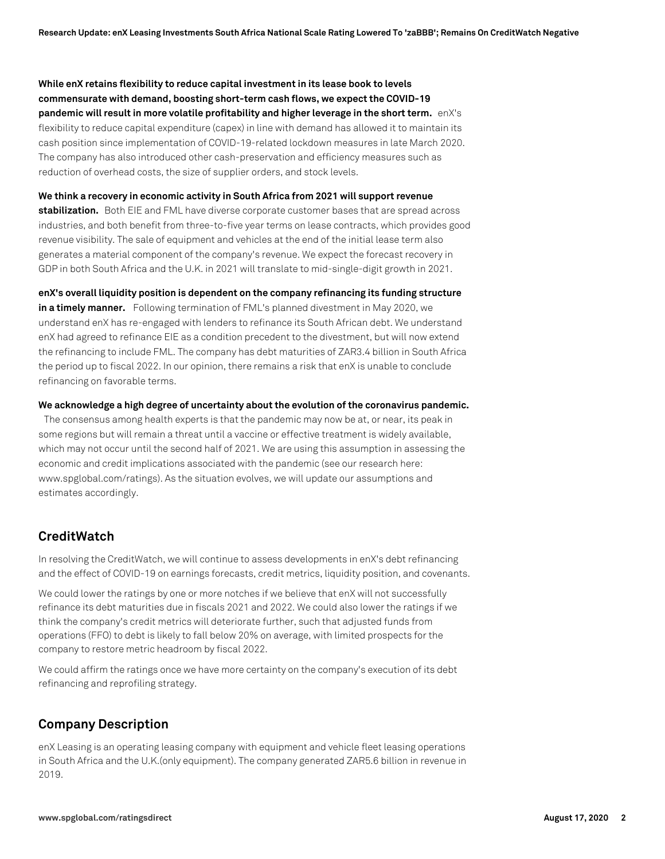**While enX retains flexibility to reduce capital investment in its lease book to levels commensurate with demand, boosting short-term cash flows, we expect the COVID-19 pandemic will result in more volatile profitability and higher leverage in the short term.** enX's flexibility to reduce capital expenditure (capex) in line with demand has allowed it to maintain its cash position since implementation of COVID-19-related lockdown measures in late March 2020. The company has also introduced other cash-preservation and efficiency measures such as reduction of overhead costs, the size of supplier orders, and stock levels.

**We think a recovery in economic activity in South Africa from 2021 will support revenue stabilization.** Both EIE and FML have diverse corporate customer bases that are spread across industries, and both benefit from three-to-five year terms on lease contracts, which provides good

revenue visibility. The sale of equipment and vehicles at the end of the initial lease term also generates a material component of the company's revenue. We expect the forecast recovery in GDP in both South Africa and the U.K. in 2021 will translate to mid-single-digit growth in 2021.

**enX's overall liquidity position is dependent on the company refinancing its funding structure**

**in a timely manner.** Following termination of FML's planned divestment in May 2020, we understand enX has re-engaged with lenders to refinance its South African debt. We understand enX had agreed to refinance EIE as a condition precedent to the divestment, but will now extend the refinancing to include FML. The company has debt maturities of ZAR3.4 billion in South Africa the period up to fiscal 2022. In our opinion, there remains a risk that enX is unable to conclude refinancing on favorable terms.

**We acknowledge a high degree of uncertainty about the evolution of the coronavirus pandemic.**

The consensus among health experts is that the pandemic may now be at, or near, its peak in some regions but will remain a threat until a vaccine or effective treatment is widely available, which may not occur until the second half of 2021. We are using this assumption in assessing the economic and credit implications associated with the pandemic (see our research here: www.spglobal.com/ratings). As the situation evolves, we will update our assumptions and estimates accordingly.

## **CreditWatch**

In resolving the CreditWatch, we will continue to assess developments in enX's debt refinancing and the effect of COVID-19 on earnings forecasts, credit metrics, liquidity position, and covenants.

We could lower the ratings by one or more notches if we believe that enX will not successfully refinance its debt maturities due in fiscals 2021 and 2022. We could also lower the ratings if we think the company's credit metrics will deteriorate further, such that adjusted funds from operations (FFO) to debt is likely to fall below 20% on average, with limited prospects for the company to restore metric headroom by fiscal 2022.

We could affirm the ratings once we have more certainty on the company's execution of its debt refinancing and reprofiling strategy.

## **Company Description**

enX Leasing is an operating leasing company with equipment and vehicle fleet leasing operations in South Africa and the U.K.(only equipment). The company generated ZAR5.6 billion in revenue in 2019.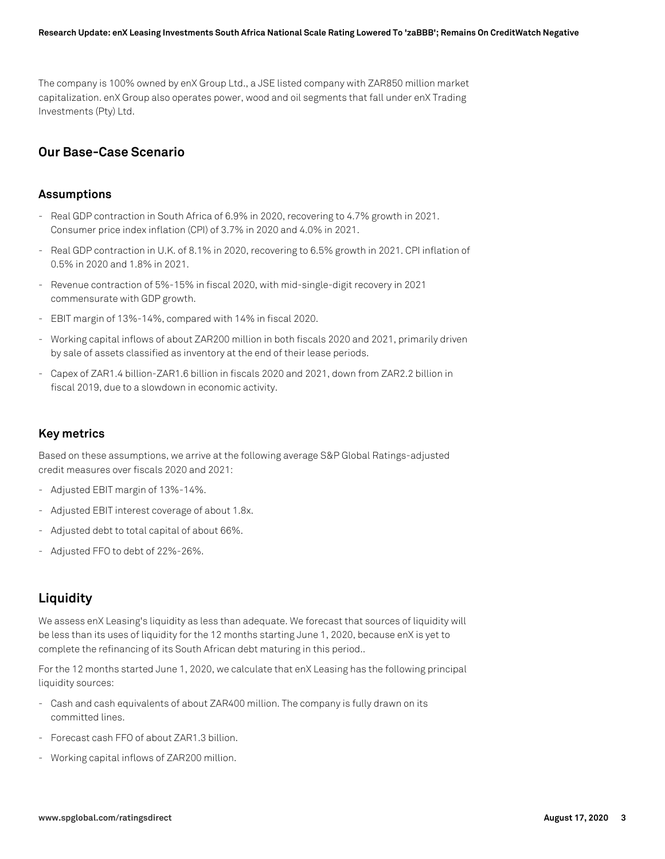The company is 100% owned by enX Group Ltd., a JSE listed company with ZAR850 million market capitalization. enX Group also operates power, wood and oil segments that fall under enX Trading Investments (Pty) Ltd.

## **Our Base-Case Scenario**

#### **Assumptions**

- Real GDP contraction in South Africa of 6.9% in 2020, recovering to 4.7% growth in 2021. Consumer price index inflation (CPI) of 3.7% in 2020 and 4.0% in 2021.
- Real GDP contraction in U.K. of 8.1% in 2020, recovering to 6.5% growth in 2021. CPI inflation of 0.5% in 2020 and 1.8% in 2021.
- Revenue contraction of 5%-15% in fiscal 2020, with mid-single-digit recovery in 2021 commensurate with GDP growth.
- EBIT margin of 13%-14%, compared with 14% in fiscal 2020.
- Working capital inflows of about ZAR200 million in both fiscals 2020 and 2021, primarily driven by sale of assets classified as inventory at the end of their lease periods.
- Capex of ZAR1.4 billion-ZAR1.6 billion in fiscals 2020 and 2021, down from ZAR2.2 billion in fiscal 2019, due to a slowdown in economic activity.

### **Key metrics**

Based on these assumptions, we arrive at the following average S&P Global Ratings-adjusted credit measures over fiscals 2020 and 2021:

- Adjusted EBIT margin of 13%-14%.
- Adjusted EBIT interest coverage of about 1.8x.
- Adjusted debt to total capital of about 66%.
- Adjusted FFO to debt of 22%-26%.

## **Liquidity**

We assess enX Leasing's liquidity as less than adequate. We forecast that sources of liquidity will be less than its uses of liquidity for the 12 months starting June 1, 2020, because enX is yet to complete the refinancing of its South African debt maturing in this period..

For the 12 months started June 1, 2020, we calculate that enX Leasing has the following principal liquidity sources:

- Cash and cash equivalents of about ZAR400 million. The company is fully drawn on its committed lines.
- Forecast cash FFO of about ZAR1.3 billion.
- Working capital inflows of ZAR200 million.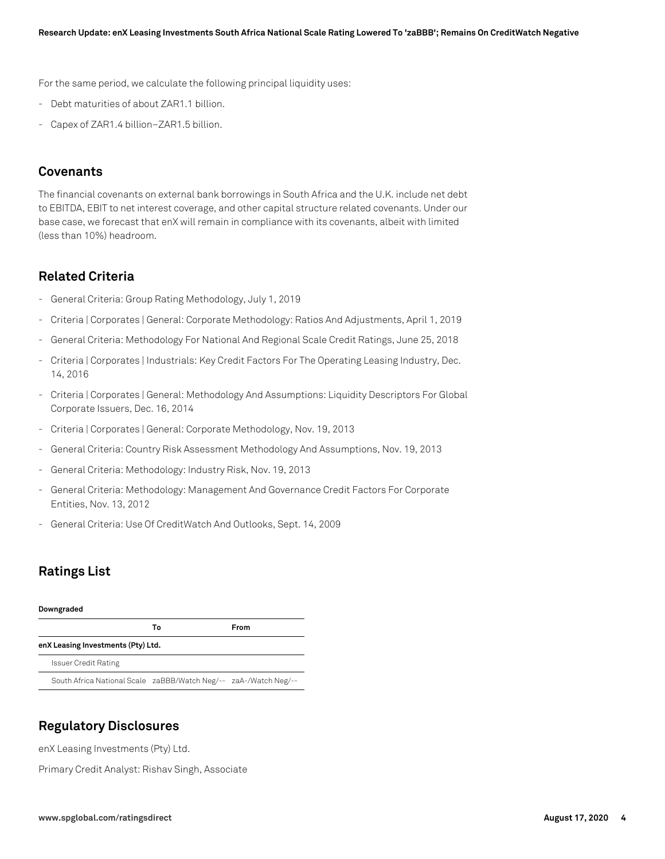For the same period, we calculate the following principal liquidity uses:

- Debt maturities of about ZAR1.1 billion.
- Capex of ZAR1.4 billion-ZAR1.5 billion.

## **Covenants**

The financial covenants on external bank borrowings in South Africa and the U.K. include net debt to EBITDA, EBIT to net interest coverage, and other capital structure related covenants. Under our base case, we forecast that enX will remain in compliance with its covenants, albeit with limited (less than 10%) headroom.

## **Related Criteria**

- General Criteria: Group Rating Methodology, July 1, 2019
- Criteria | Corporates | General: Corporate Methodology: Ratios And Adjustments, April 1, 2019
- General Criteria: Methodology For National And Regional Scale Credit Ratings, June 25, 2018
- Criteria | Corporates | Industrials: Key Credit Factors For The Operating Leasing Industry, Dec. 14, 2016
- Criteria | Corporates | General: Methodology And Assumptions: Liquidity Descriptors For Global Corporate Issuers, Dec. 16, 2014
- Criteria | Corporates | General: Corporate Methodology, Nov. 19, 2013
- General Criteria: Country Risk Assessment Methodology And Assumptions, Nov. 19, 2013
- General Criteria: Methodology: Industry Risk, Nov. 19, 2013
- General Criteria: Methodology: Management And Governance Credit Factors For Corporate Entities, Nov. 13, 2012
- General Criteria: Use Of CreditWatch And Outlooks, Sept. 14, 2009

## **Ratings List**

#### **Downgraded**

|                                                                  | Т٥ | From |
|------------------------------------------------------------------|----|------|
| enX Leasing Investments (Pty) Ltd.                               |    |      |
| <b>Issuer Credit Rating</b>                                      |    |      |
| South Africa National Scale zaBBB/Watch Neg/-- zaA-/Watch Neg/-- |    |      |

## **Regulatory Disclosures**

enX Leasing Investments (Pty) Ltd.

Primary Credit Analyst: Rishav Singh, Associate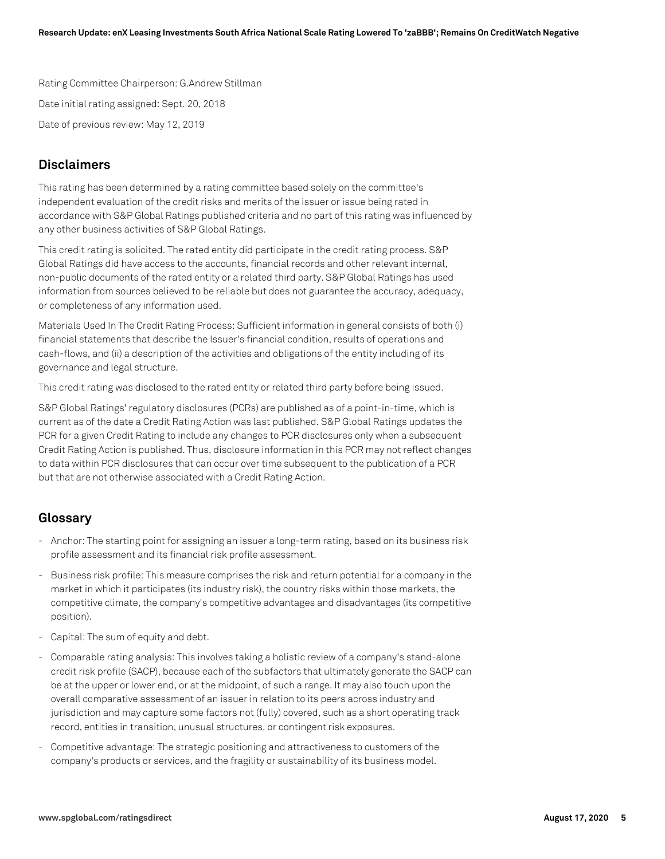Rating Committee Chairperson: G.Andrew Stillman Date initial rating assigned: Sept. 20, 2018 Date of previous review: May 12, 2019

## **Disclaimers**

This rating has been determined by a rating committee based solely on the committee's independent evaluation of the credit risks and merits of the issuer or issue being rated in accordance with S&P Global Ratings published criteria and no part of this rating was influenced by any other business activities of S&P Global Ratings.

This credit rating is solicited. The rated entity did participate in the credit rating process. S&P Global Ratings did have access to the accounts, financial records and other relevant internal, non-public documents of the rated entity or a related third party. S&P Global Ratings has used information from sources believed to be reliable but does not guarantee the accuracy, adequacy, or completeness of any information used.

Materials Used In The Credit Rating Process: Sufficient information in general consists of both (i) financial statements that describe the Issuer's financial condition, results of operations and cash-flows, and (ii) a description of the activities and obligations of the entity including of its governance and legal structure.

This credit rating was disclosed to the rated entity or related third party before being issued.

S&P Global Ratings' regulatory disclosures (PCRs) are published as of a point-in-time, which is current as of the date a Credit Rating Action was last published. S&P Global Ratings updates the PCR for a given Credit Rating to include any changes to PCR disclosures only when a subsequent Credit Rating Action is published. Thus, disclosure information in this PCR may not reflect changes to data within PCR disclosures that can occur over time subsequent to the publication of a PCR but that are not otherwise associated with a Credit Rating Action.

## **Glossary**

- Anchor: The starting point for assigning an issuer a long-term rating, based on its business risk profile assessment and its financial risk profile assessment.
- Business risk profile: This measure comprises the risk and return potential for a company in the market in which it participates (its industry risk), the country risks within those markets, the competitive climate, the company's competitive advantages and disadvantages (its competitive position).
- Capital: The sum of equity and debt.
- Comparable rating analysis: This involves taking a holistic review of a company's stand-alone credit risk profile (SACP), because each of the subfactors that ultimately generate the SACP can be at the upper or lower end, or at the midpoint, of such a range. It may also touch upon the overall comparative assessment of an issuer in relation to its peers across industry and jurisdiction and may capture some factors not (fully) covered, such as a short operating track record, entities in transition, unusual structures, or contingent risk exposures.
- Competitive advantage: The strategic positioning and attractiveness to customers of the company's products or services, and the fragility or sustainability of its business model.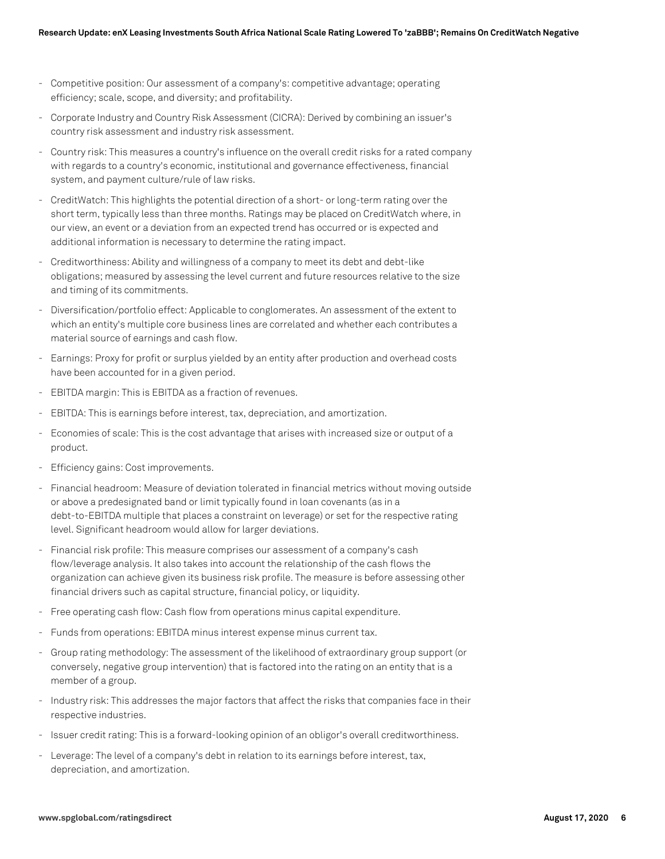- Competitive position: Our assessment of a company's: competitive advantage; operating efficiency; scale, scope, and diversity; and profitability.
- Corporate Industry and Country Risk Assessment (CICRA): Derived by combining an issuer's country risk assessment and industry risk assessment.
- Country risk: This measures a country's influence on the overall credit risks for a rated company with regards to a country's economic, institutional and governance effectiveness, financial system, and payment culture/rule of law risks.
- CreditWatch: This highlights the potential direction of a short- or long-term rating over the short term, typically less than three months. Ratings may be placed on CreditWatch where, in our view, an event or a deviation from an expected trend has occurred or is expected and additional information is necessary to determine the rating impact.
- Creditworthiness: Ability and willingness of a company to meet its debt and debt-like obligations; measured by assessing the level current and future resources relative to the size and timing of its commitments.
- Diversification/portfolio effect: Applicable to conglomerates. An assessment of the extent to which an entity's multiple core business lines are correlated and whether each contributes a material source of earnings and cash flow.
- Earnings: Proxy for profit or surplus yielded by an entity after production and overhead costs have been accounted for in a given period.
- EBITDA margin: This is EBITDA as a fraction of revenues.
- EBITDA: This is earnings before interest, tax, depreciation, and amortization.
- Economies of scale: This is the cost advantage that arises with increased size or output of a product.
- Efficiency gains: Cost improvements.
- Financial headroom: Measure of deviation tolerated in financial metrics without moving outside or above a predesignated band or limit typically found in loan covenants (as in a debt-to-EBITDA multiple that places a constraint on leverage) or set for the respective rating level. Significant headroom would allow for larger deviations.
- Financial risk profile: This measure comprises our assessment of a company's cash flow/leverage analysis. It also takes into account the relationship of the cash flows the organization can achieve given its business risk profile. The measure is before assessing other financial drivers such as capital structure, financial policy, or liquidity.
- Free operating cash flow: Cash flow from operations minus capital expenditure.
- Funds from operations: EBITDA minus interest expense minus current tax.
- Group rating methodology: The assessment of the likelihood of extraordinary group support (or conversely, negative group intervention) that is factored into the rating on an entity that is a member of a group.
- Industry risk: This addresses the major factors that affect the risks that companies face in their respective industries.
- Issuer credit rating: This is a forward-looking opinion of an obligor's overall creditworthiness.
- Leverage: The level of a company's debt in relation to its earnings before interest, tax, depreciation, and amortization.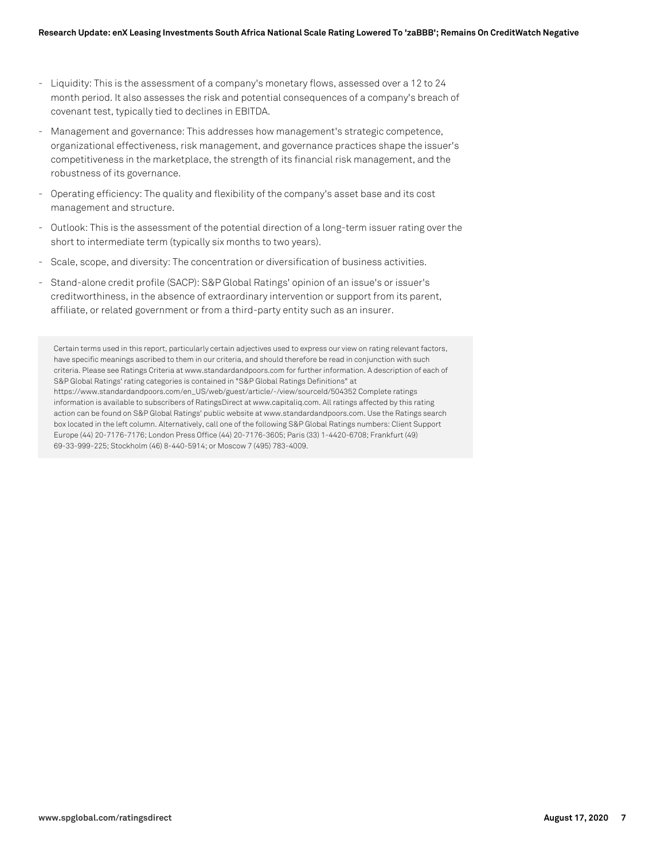- Liquidity: This is the assessment of a company's monetary flows, assessed over a 12 to 24 month period. It also assesses the risk and potential consequences of a company's breach of covenant test, typically tied to declines in EBITDA.
- Management and governance: This addresses how management's strategic competence, organizational effectiveness, risk management, and governance practices shape the issuer's competitiveness in the marketplace, the strength of its financial risk management, and the robustness of its governance.
- Operating efficiency: The quality and flexibility of the company's asset base and its cost management and structure.
- Outlook: This is the assessment of the potential direction of a long-term issuer rating over the short to intermediate term (typically six months to two years).
- Scale, scope, and diversity: The concentration or diversification of business activities.
- Stand-alone credit profile (SACP): S&P Global Ratings' opinion of an issue's or issuer's creditworthiness, in the absence of extraordinary intervention or support from its parent, affiliate, or related government or from a third-party entity such as an insurer.

Certain terms used in this report, particularly certain adjectives used to express our view on rating relevant factors, have specific meanings ascribed to them in our criteria, and should therefore be read in conjunction with such criteria. Please see Ratings Criteria at www.standardandpoors.com for further information. A description of each of S&P Global Ratings' rating categories is contained in "S&P Global Ratings Definitions" at https://www.standardandpoors.com/en\_US/web/guest/article/-/view/sourceId/504352 Complete ratings information is available to subscribers of RatingsDirect at www.capitaliq.com. All ratings affected by this rating action can be found on S&P Global Ratings' public website at www.standardandpoors.com. Use the Ratings search box located in the left column. Alternatively, call one of the following S&P Global Ratings numbers: Client Support Europe (44) 20-7176-7176; London Press Office (44) 20-7176-3605; Paris (33) 1-4420-6708; Frankfurt (49) 69-33-999-225; Stockholm (46) 8-440-5914; or Moscow 7 (495) 783-4009.